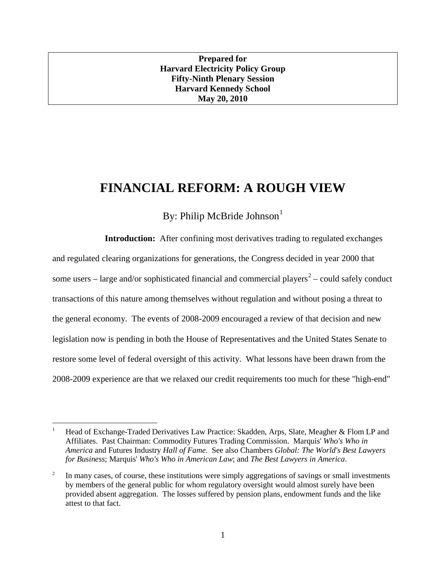## **Prepared for Harvard Electricity Policy Group Fifty-Ninth Plenary Session Harvard Kennedy School May 20, 2010**

## **FINANCIAL REFORM: A ROUGH VIEW**

By: Philip McBride Johnson $<sup>1</sup>$  $<sup>1</sup>$  $<sup>1</sup>$ </sup>

**Introduction:** After confining most derivatives trading to regulated exchanges and regulated clearing organizations for generations, the Congress decided in year 2000 that some users – large and/or sophisticated financial and commercial players<sup>[2](#page-0-1)</sup> – could safely conduct transactions of this nature among themselves without regulation and without posing a threat to the general economy. The events of 2008-2009 encouraged a review of that decision and new legislation now is pending in both the House of Representatives and the United States Senate to restore some level of federal oversight of this activity. What lessons have been drawn from the 2008-2009 experience are that we relaxed our credit requirements too much for these "high-end"

<span id="page-0-0"></span> <sup>1</sup> Head of Exchange-Traded Derivatives Law Practice: Skadden, Arps, Slate, Meagher & Flom LP and Affiliates. Past Chairman: Commodity Futures Trading Commission. Marquis' *Who's Who in America* and Futures Industry *Hall of Fame*. See also Chambers *Global: The World's Best Lawyers for Business*; Marquis' *Who's Who in American Law*; and *The Best Lawyers in America*.

<span id="page-0-1"></span> $2\degree$  In many cases, of course, these institutions were simply aggregations of savings or small investments by members of the general public for whom regulatory oversight would almost surely have been provided absent aggregation. The losses suffered by pension plans, endowment funds and the like attest to that fact.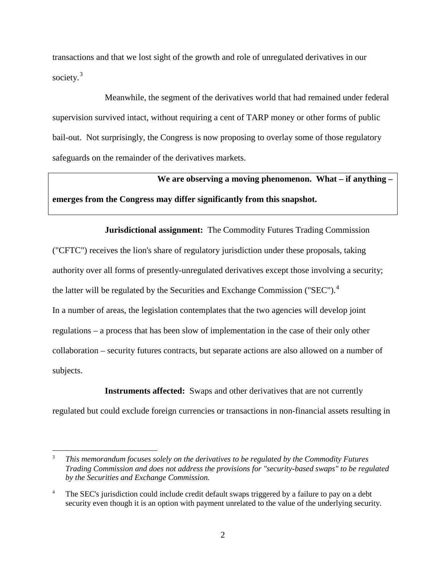transactions and that we lost sight of the growth and role of unregulated derivatives in our society.<sup>[3](#page-1-0)</sup>

Meanwhile, the segment of the derivatives world that had remained under federal supervision survived intact, without requiring a cent of TARP money or other forms of public bail-out. Not surprisingly, the Congress is now proposing to overlay some of those regulatory safeguards on the remainder of the derivatives markets.

**We are observing a moving phenomenon. What – if anything – emerges from the Congress may differ significantly from this snapshot.**

**Jurisdictional assignment:** The Commodity Futures Trading Commission ("CFTC") receives the lion's share of regulatory jurisdiction under these proposals, taking authority over all forms of presently-unregulated derivatives except those involving a security; the latter will be regulated by the Securities and Exchange Commission ("SEC").<sup>[4](#page-1-1)</sup> In a number of areas, the legislation contemplates that the two agencies will develop joint regulations – a process that has been slow of implementation in the case of their only other collaboration – security futures contracts, but separate actions are also allowed on a number of subjects.

**Instruments affected:** Swaps and other derivatives that are not currently

regulated but could exclude foreign currencies or transactions in non-financial assets resulting in

<span id="page-1-0"></span> <sup>3</sup> *This memorandum focuses solely on the derivatives to be regulated by the Commodity Futures Trading Commission and does not address the provisions for "security-based swaps" to be regulated by the Securities and Exchange Commission.*

<span id="page-1-1"></span><sup>&</sup>lt;sup>4</sup> The SEC's jurisdiction could include credit default swaps triggered by a failure to pay on a debt security even though it is an option with payment unrelated to the value of the underlying security.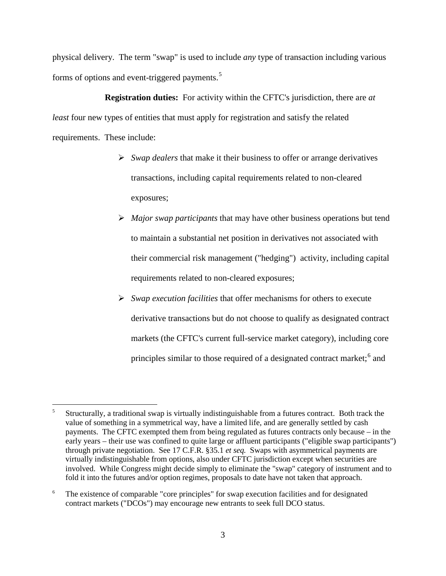physical delivery. The term "swap" is used to include *any* type of transaction including various forms of options and event-triggered payments.<sup>[5](#page-2-0)</sup>

**Registration duties:** For activity within the CFTC's jurisdiction, there are *at least* four new types of entities that must apply for registration and satisfy the related requirements. These include:

- *Swap dealers* that make it their business to offer or arrange derivatives transactions, including capital requirements related to non-cleared exposures;
- *Major swap participants* that may have other business operations but tend to maintain a substantial net position in derivatives not associated with their commercial risk management ("hedging") activity, including capital requirements related to non-cleared exposures;
- *Swap execution facilities* that offer mechanisms for others to execute derivative transactions but do not choose to qualify as designated contract markets (the CFTC's current full-service market category), including core principles similar to those required of a designated contract market;<sup>[6](#page-2-1)</sup> and

<span id="page-2-0"></span> <sup>5</sup> Structurally, a traditional swap is virtually indistinguishable from a futures contract. Both track the value of something in a symmetrical way, have a limited life, and are generally settled by cash payments. The CFTC exempted them from being regulated as futures contracts only because – in the early years – their use was confined to quite large or affluent participants ("eligible swap participants") through private negotiation. See 17 C.F.R. §35.1 *et seq.* Swaps with asymmetrical payments are virtually indistinguishable from options, also under CFTC jurisdiction except when securities are involved. While Congress might decide simply to eliminate the "swap" category of instrument and to fold it into the futures and/or option regimes, proposals to date have not taken that approach.

<span id="page-2-1"></span><sup>&</sup>lt;sup>6</sup> The existence of comparable "core principles" for swap execution facilities and for designated contract markets ("DCOs") may encourage new entrants to seek full DCO status.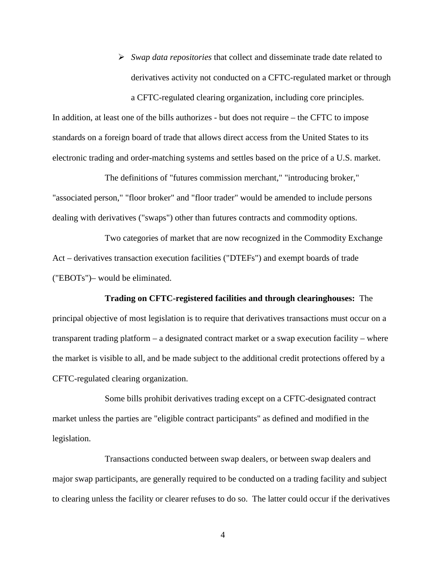*Swap data repositories* that collect and disseminate trade date related to derivatives activity not conducted on a CFTC-regulated market or through

a CFTC-regulated clearing organization, including core principles.

In addition, at least one of the bills authorizes - but does not require – the CFTC to impose standards on a foreign board of trade that allows direct access from the United States to its electronic trading and order-matching systems and settles based on the price of a U.S. market.

The definitions of "futures commission merchant," "introducing broker," "associated person," "floor broker" and "floor trader" would be amended to include persons dealing with derivatives ("swaps") other than futures contracts and commodity options.

Two categories of market that are now recognized in the Commodity Exchange Act – derivatives transaction execution facilities ("DTEFs") and exempt boards of trade ("EBOTs")– would be eliminated.

**Trading on CFTC-registered facilities and through clearinghouses:** The principal objective of most legislation is to require that derivatives transactions must occur on a transparent trading platform – a designated contract market or a swap execution facility – where the market is visible to all, and be made subject to the additional credit protections offered by a CFTC-regulated clearing organization.

Some bills prohibit derivatives trading except on a CFTC-designated contract market unless the parties are "eligible contract participants" as defined and modified in the legislation.

Transactions conducted between swap dealers, or between swap dealers and major swap participants, are generally required to be conducted on a trading facility and subject to clearing unless the facility or clearer refuses to do so. The latter could occur if the derivatives

4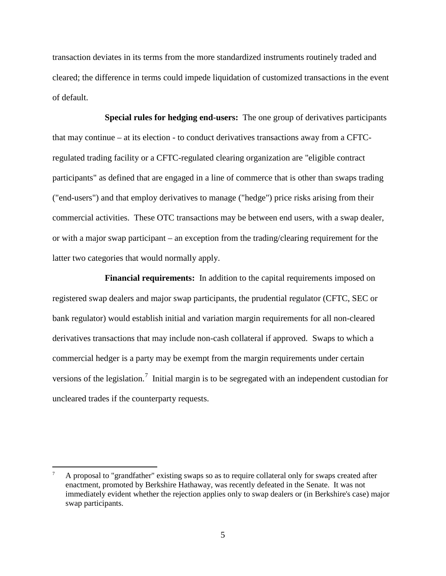transaction deviates in its terms from the more standardized instruments routinely traded and cleared; the difference in terms could impede liquidation of customized transactions in the event of default.

**Special rules for hedging end-users:** The one group of derivatives participants that may continue – at its election - to conduct derivatives transactions away from a CFTCregulated trading facility or a CFTC-regulated clearing organization are "eligible contract participants" as defined that are engaged in a line of commerce that is other than swaps trading ("end-users") and that employ derivatives to manage ("hedge") price risks arising from their commercial activities. These OTC transactions may be between end users, with a swap dealer, or with a major swap participant – an exception from the trading/clearing requirement for the latter two categories that would normally apply.

**Financial requirements:** In addition to the capital requirements imposed on registered swap dealers and major swap participants, the prudential regulator (CFTC, SEC or bank regulator) would establish initial and variation margin requirements for all non-cleared derivatives transactions that may include non-cash collateral if approved. Swaps to which a commercial hedger is a party may be exempt from the margin requirements under certain versions of the legislation.<sup>[7](#page-4-0)</sup> Initial margin is to be segregated with an independent custodian for uncleared trades if the counterparty requests.

<span id="page-4-0"></span> <sup>7</sup> A proposal to "grandfather" existing swaps so as to require collateral only for swaps created after enactment, promoted by Berkshire Hathaway, was recently defeated in the Senate. It was not immediately evident whether the rejection applies only to swap dealers or (in Berkshire's case) major swap participants.